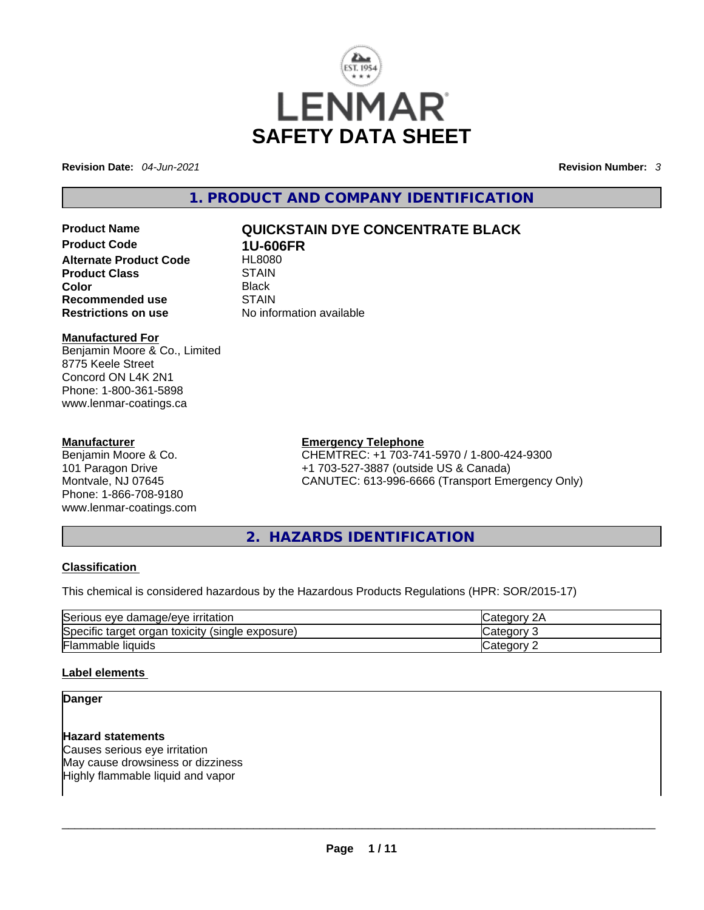

**Revision Date:** *04-Jun-2021* **Revision Number:** *3*

**1. PRODUCT AND COMPANY IDENTIFICATION** 

**Product Code 1U-606FR Alternate Product Code 6 HL8080**<br>Product Class **STAIN Product Class Color** Black **Recommended use** STAIN **Restrictions on use** No information available

# **Product Name QUICKSTAIN DYE CONCENTRATE BLACK**

#### **Manufactured For**

Benjamin Moore & Co., Limited 8775 Keele Street Concord ON L4K 2N1 Phone: 1-800-361-5898 www.lenmar-coatings.ca

#### **Manufacturer**

Benjamin Moore & Co. 101 Paragon Drive Montvale, NJ 07645 Phone: 1-866-708-9180 www.lenmar-coatings.com

#### **Emergency Telephone**

CHEMTREC: +1 703-741-5970 / 1-800-424-9300 +1 703-527-3887 (outside US & Canada) CANUTEC: 613-996-6666 (Transport Emergency Only)

**2. HAZARDS IDENTIFICATION** 

#### **Classification**

This chemical is considered hazardous by the Hazardous Products Regulations (HPR: SOR/2015-17)

| Serious eye damage/eye irritation                   | 2A<br>∵ategorvٽ |
|-----------------------------------------------------|-----------------|
| Specific target organ toxicity<br>(single exposure) | ∵ ategoryٽ      |
| <b>Flammable liquids</b>                            | ∴categorv       |

#### **Label elements**

#### **Danger**

**Hazard statements** Causes serious eye irritation May cause drowsiness or dizziness Highly flammable liquid and vapor \_\_\_\_\_\_\_\_\_\_\_\_\_\_\_\_\_\_\_\_\_\_\_\_\_\_\_\_\_\_\_\_\_\_\_\_\_\_\_\_\_\_\_\_\_\_\_\_\_\_\_\_\_\_\_\_\_\_\_\_\_\_\_\_\_\_\_\_\_\_\_\_\_\_\_\_\_\_\_\_\_\_\_\_\_\_\_\_\_\_\_\_\_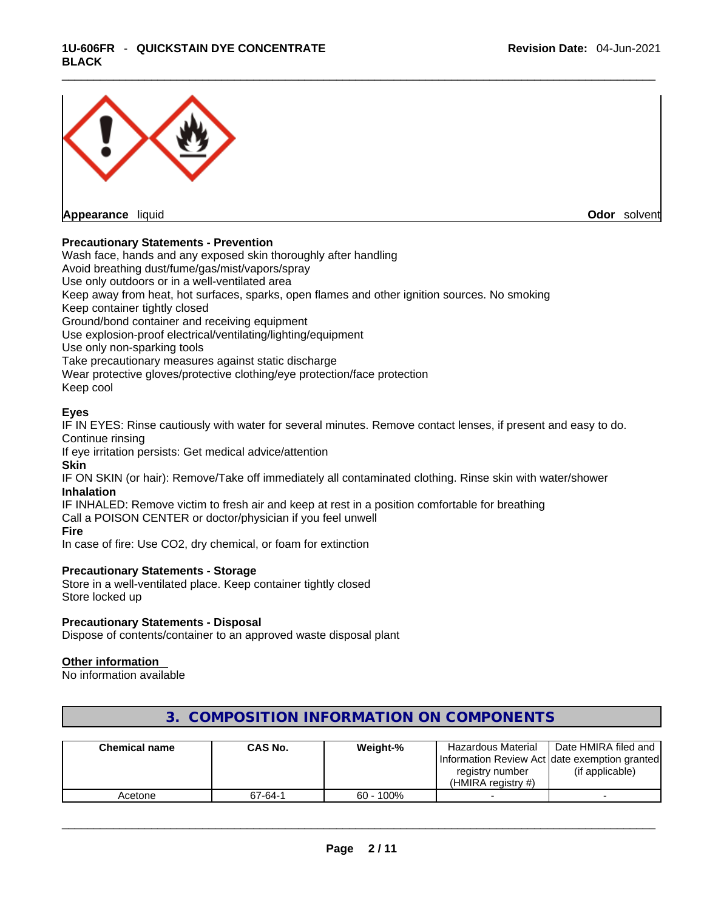#### \_\_\_\_\_\_\_\_\_\_\_\_\_\_\_\_\_\_\_\_\_\_\_\_\_\_\_\_\_\_\_\_\_\_\_\_\_\_\_\_\_\_\_\_\_\_\_\_\_\_\_\_\_\_\_\_\_\_\_\_\_\_\_\_\_\_\_\_\_\_\_\_\_\_\_\_\_\_\_\_\_\_\_\_\_\_\_\_\_\_\_\_\_ **1U-606FR** - **QUICKSTAIN DYE CONCENTRATE BLACK**



**Appearance** liquid **Odor** solvent

#### **Precautionary Statements - Prevention**

Wash face, hands and any exposed skin thoroughly after handling Avoid breathing dust/fume/gas/mist/vapors/spray Use only outdoors or in a well-ventilated area Keep away from heat, hot surfaces, sparks, open flames and other ignition sources. No smoking Keep container tightly closed Ground/bond container and receiving equipment Use explosion-proof electrical/ventilating/lighting/equipment Use only non-sparking tools Take precautionary measures against static discharge Wear protective gloves/protective clothing/eye protection/face protection Keep cool

#### **Eyes**

IF IN EYES: Rinse cautiously with water for several minutes. Remove contact lenses, if present and easy to do. Continue rinsing

If eye irritation persists: Get medical advice/attention

**Skin**

IF ON SKIN (or hair): Remove/Take off immediately all contaminated clothing. Rinse skin with water/shower **Inhalation**

IF INHALED: Remove victim to fresh air and keep at rest in a position comfortable for breathing Call a POISON CENTER or doctor/physician if you feel unwell **Fire**

In case of fire: Use CO2, dry chemical, or foam for extinction

#### **Precautionary Statements - Storage**

Store in a well-ventilated place. Keep container tightly closed Store locked up

#### **Precautionary Statements - Disposal**

Dispose of contents/container to an approved waste disposal plant

#### **Other information**

No information available

| <b>Chemical name</b> | CAS No. | Weight-%     | Hazardous Material<br>registry number<br>(HMIRA registry $#$ ) | Date HMIRA filed and<br>Information Review Act Idate exemption granted<br>(if applicable) |
|----------------------|---------|--------------|----------------------------------------------------------------|-------------------------------------------------------------------------------------------|
| Acetone              | 67-64-1 | $60 - 100\%$ |                                                                |                                                                                           |

# **3. COMPOSITION INFORMATION ON COMPONENTS**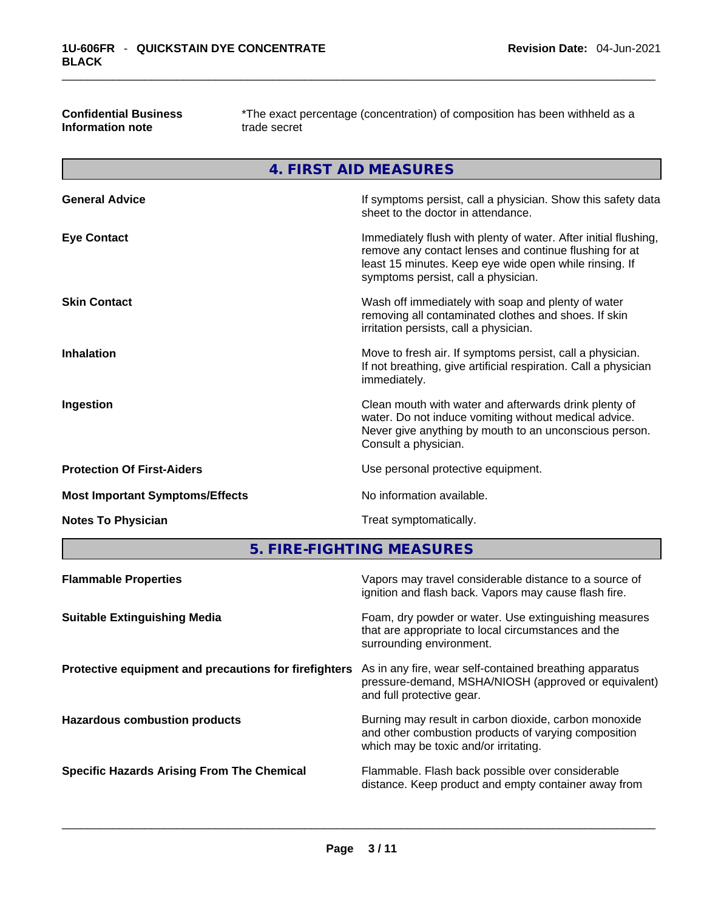| Confidential Business | *The exact percentage ( |
|-----------------------|-------------------------|
| Information note      | trade secret            |

**Confidential Business** \*The exact percentage (concentration) of composition has been withheld as a

**4. FIRST AID MEASURES** 

| <b>General Advice</b>                  | If symptoms persist, call a physician. Show this safety data<br>sheet to the doctor in attendance.                                                                                                                         |
|----------------------------------------|----------------------------------------------------------------------------------------------------------------------------------------------------------------------------------------------------------------------------|
| <b>Eye Contact</b>                     | Immediately flush with plenty of water. After initial flushing,<br>remove any contact lenses and continue flushing for at<br>least 15 minutes. Keep eye wide open while rinsing. If<br>symptoms persist, call a physician. |
| <b>Skin Contact</b>                    | Wash off immediately with soap and plenty of water<br>removing all contaminated clothes and shoes. If skin<br>irritation persists, call a physician.                                                                       |
| <b>Inhalation</b>                      | Move to fresh air. If symptoms persist, call a physician.<br>If not breathing, give artificial respiration. Call a physician<br>immediately.                                                                               |
| Ingestion                              | Clean mouth with water and afterwards drink plenty of<br>water. Do not induce vomiting without medical advice.<br>Never give anything by mouth to an unconscious person.<br>Consult a physician.                           |
| <b>Protection Of First-Aiders</b>      | Use personal protective equipment.                                                                                                                                                                                         |
| <b>Most Important Symptoms/Effects</b> | No information available.                                                                                                                                                                                                  |
| <b>Notes To Physician</b>              | Treat symptomatically.                                                                                                                                                                                                     |
|                                        |                                                                                                                                                                                                                            |

**5. FIRE-FIGHTING MEASURES** 

| <b>Flammable Properties</b>                           | Vapors may travel considerable distance to a source of<br>ignition and flash back. Vapors may cause flash fire.                                        |
|-------------------------------------------------------|--------------------------------------------------------------------------------------------------------------------------------------------------------|
| <b>Suitable Extinguishing Media</b>                   | Foam, dry powder or water. Use extinguishing measures<br>that are appropriate to local circumstances and the<br>surrounding environment.               |
| Protective equipment and precautions for firefighters | As in any fire, wear self-contained breathing apparatus<br>pressure-demand, MSHA/NIOSH (approved or equivalent)<br>and full protective gear.           |
| <b>Hazardous combustion products</b>                  | Burning may result in carbon dioxide, carbon monoxide<br>and other combustion products of varying composition<br>which may be toxic and/or irritating. |
| <b>Specific Hazards Arising From The Chemical</b>     | Flammable. Flash back possible over considerable<br>distance. Keep product and empty container away from                                               |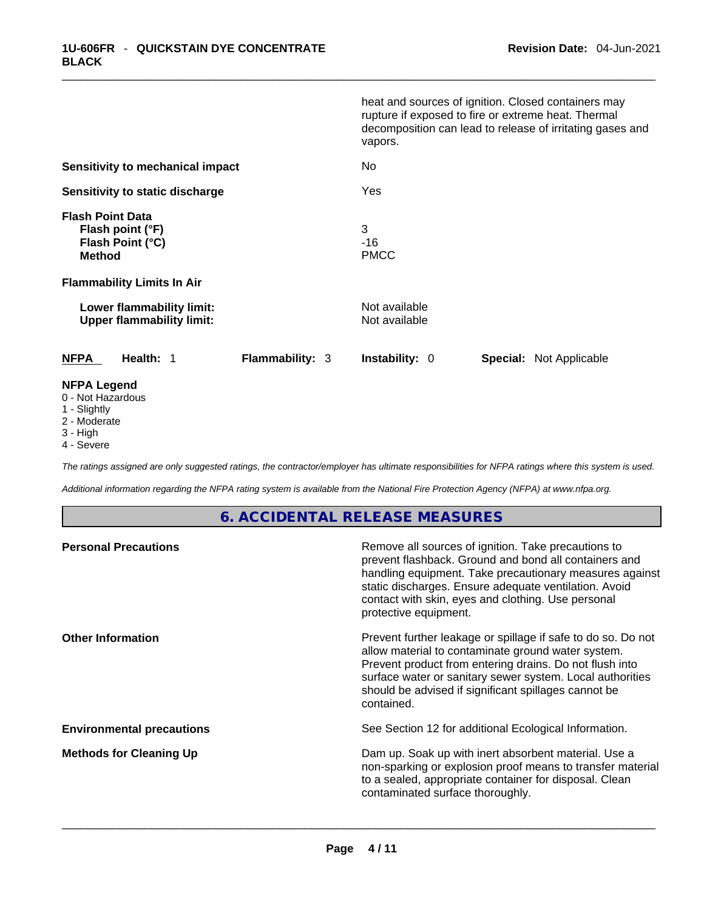|                                                                                  | heat and sources of ignition. Closed containers may<br>rupture if exposed to fire or extreme heat. Thermal<br>decomposition can lead to release of irritating gases and<br>vapors. |
|----------------------------------------------------------------------------------|------------------------------------------------------------------------------------------------------------------------------------------------------------------------------------|
| Sensitivity to mechanical impact                                                 | No                                                                                                                                                                                 |
| Sensitivity to static discharge                                                  | Yes                                                                                                                                                                                |
| <b>Flash Point Data</b><br>Flash point (°F)<br>Flash Point (°C)<br><b>Method</b> | 3<br>$-16$<br><b>PMCC</b>                                                                                                                                                          |
| <b>Flammability Limits In Air</b>                                                |                                                                                                                                                                                    |
| Lower flammability limit:<br><b>Upper flammability limit:</b>                    | Not available<br>Not available                                                                                                                                                     |
| <b>Flammability: 3</b><br><b>NFPA</b><br>Health: 1                               | <b>Instability: 0</b><br><b>Special: Not Applicable</b>                                                                                                                            |
| <b>NFPA Legend</b><br>0 - Not Hazardous                                          |                                                                                                                                                                                    |

- 1 Slightly
- 2 Moderate
- 3 High
- 4 Severe

*The ratings assigned are only suggested ratings, the contractor/employer has ultimate responsibilities for NFPA ratings where this system is used.* 

*Additional information regarding the NFPA rating system is available from the National Fire Protection Agency (NFPA) at www.nfpa.org.* 

# **6. ACCIDENTAL RELEASE MEASURES**

| Remove all sources of ignition. Take precautions to<br>prevent flashback. Ground and bond all containers and<br>handling equipment. Take precautionary measures against<br>static discharges. Ensure adequate ventilation. Avoid<br>contact with skin, eyes and clothing. Use personal<br>protective equipment.  |
|------------------------------------------------------------------------------------------------------------------------------------------------------------------------------------------------------------------------------------------------------------------------------------------------------------------|
| Prevent further leakage or spillage if safe to do so. Do not<br>allow material to contaminate ground water system.<br>Prevent product from entering drains. Do not flush into<br>surface water or sanitary sewer system. Local authorities<br>should be advised if significant spillages cannot be<br>contained. |
| See Section 12 for additional Ecological Information.                                                                                                                                                                                                                                                            |
| Dam up. Soak up with inert absorbent material. Use a<br>non-sparking or explosion proof means to transfer material<br>to a sealed, appropriate container for disposal. Clean<br>contaminated surface thoroughly.                                                                                                 |
|                                                                                                                                                                                                                                                                                                                  |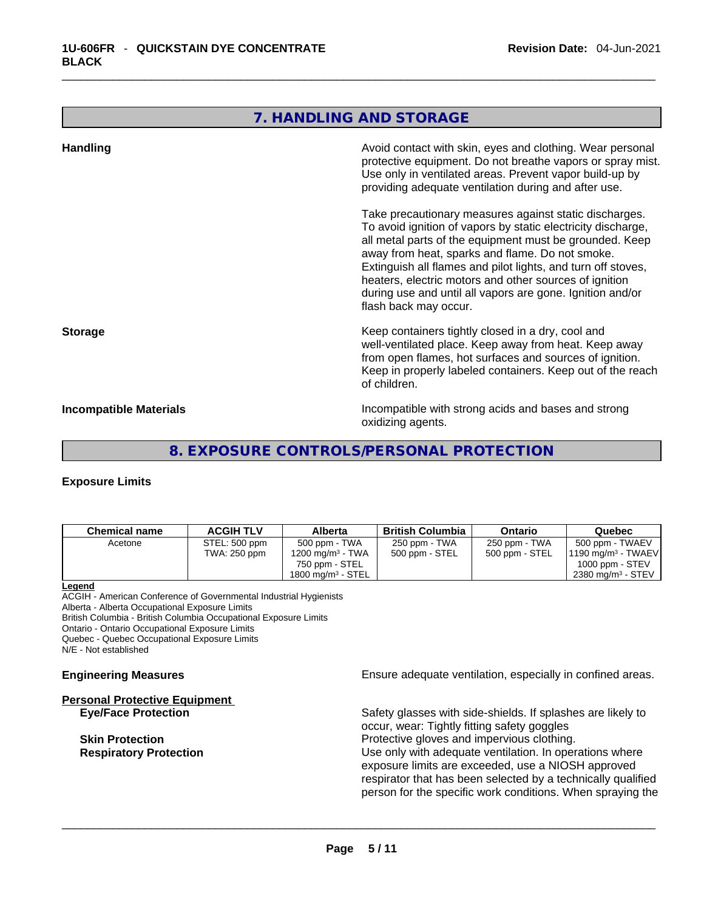# **7. HANDLING AND STORAGE**

| <b>Handling</b>               | Avoid contact with skin, eyes and clothing. Wear personal<br>protective equipment. Do not breathe vapors or spray mist.<br>Use only in ventilated areas. Prevent vapor build-up by<br>providing adequate ventilation during and after use.                                                                                                                                                                                                           |
|-------------------------------|------------------------------------------------------------------------------------------------------------------------------------------------------------------------------------------------------------------------------------------------------------------------------------------------------------------------------------------------------------------------------------------------------------------------------------------------------|
|                               | Take precautionary measures against static discharges.<br>To avoid ignition of vapors by static electricity discharge,<br>all metal parts of the equipment must be grounded. Keep<br>away from heat, sparks and flame. Do not smoke.<br>Extinguish all flames and pilot lights, and turn off stoves,<br>heaters, electric motors and other sources of ignition<br>during use and until all vapors are gone. Ignition and/or<br>flash back may occur. |
| <b>Storage</b>                | Keep containers tightly closed in a dry, cool and<br>well-ventilated place. Keep away from heat. Keep away<br>from open flames, hot surfaces and sources of ignition.<br>Keep in properly labeled containers. Keep out of the reach<br>of children.                                                                                                                                                                                                  |
| <b>Incompatible Materials</b> | Incompatible with strong acids and bases and strong<br>oxidizing agents.                                                                                                                                                                                                                                                                                                                                                                             |

# **8. EXPOSURE CONTROLS/PERSONAL PROTECTION**

## **Exposure Limits**

| <b>Chemical name</b>                                              | <b>ACGIH TLV</b> | <b>Alberta</b>                | <b>British Columbia</b>                                                                               | <b>Ontario</b> | Quebec                                                       |
|-------------------------------------------------------------------|------------------|-------------------------------|-------------------------------------------------------------------------------------------------------|----------------|--------------------------------------------------------------|
| Acetone                                                           | STEL: 500 ppm    | 500 ppm - TWA                 | 250 ppm - TWA                                                                                         | 250 ppm - TWA  | 500 ppm - TWAEV                                              |
|                                                                   | TWA: 250 ppm     | 1200 mg/m <sup>3</sup> - TWA  | 500 ppm - STEL                                                                                        | 500 ppm - STEL | 1190 mg/m $3$ - TWAEV                                        |
|                                                                   |                  | 750 ppm - STEL                |                                                                                                       |                | 1000 ppm - $STEV$                                            |
|                                                                   |                  | 1800 mg/m <sup>3</sup> - STEL |                                                                                                       |                | 2380 mg/m <sup>3</sup> - STEV                                |
| Legend                                                            |                  |                               |                                                                                                       |                |                                                              |
| ACGIH - American Conference of Governmental Industrial Hygienists |                  |                               |                                                                                                       |                |                                                              |
| Alberta - Alberta Occupational Exposure Limits                    |                  |                               |                                                                                                       |                |                                                              |
| British Columbia - British Columbia Occupational Exposure Limits  |                  |                               |                                                                                                       |                |                                                              |
| Ontario - Ontario Occupational Exposure Limits                    |                  |                               |                                                                                                       |                |                                                              |
| Quebec - Quebec Occupational Exposure Limits                      |                  |                               |                                                                                                       |                |                                                              |
| N/E - Not established                                             |                  |                               |                                                                                                       |                |                                                              |
| <b>Engineering Measures</b>                                       |                  |                               | Ensure adequate ventilation, especially in confined areas.                                            |                |                                                              |
| <b>Personal Protective Equipment</b>                              |                  |                               |                                                                                                       |                |                                                              |
| <b>Eye/Face Protection</b>                                        |                  |                               | Safety glasses with side-shields. If splashes are likely to                                           |                |                                                              |
|                                                                   |                  |                               | occur, wear: Tightly fitting safety goggles                                                           |                |                                                              |
|                                                                   |                  |                               |                                                                                                       |                |                                                              |
| <b>Skin Protection</b>                                            |                  |                               | Protective gloves and impervious clothing.<br>Use only with adequate ventilation. In operations where |                |                                                              |
| <b>Respiratory Protection</b>                                     |                  |                               |                                                                                                       |                |                                                              |
|                                                                   |                  |                               | exposure limits are exceeded, use a NIOSH approved                                                    |                |                                                              |
|                                                                   |                  |                               |                                                                                                       |                | respirator that has been selected by a technically qualified |
|                                                                   |                  |                               |                                                                                                       |                | person for the specific work conditions. When spraying the   |
|                                                                   |                  |                               |                                                                                                       |                |                                                              |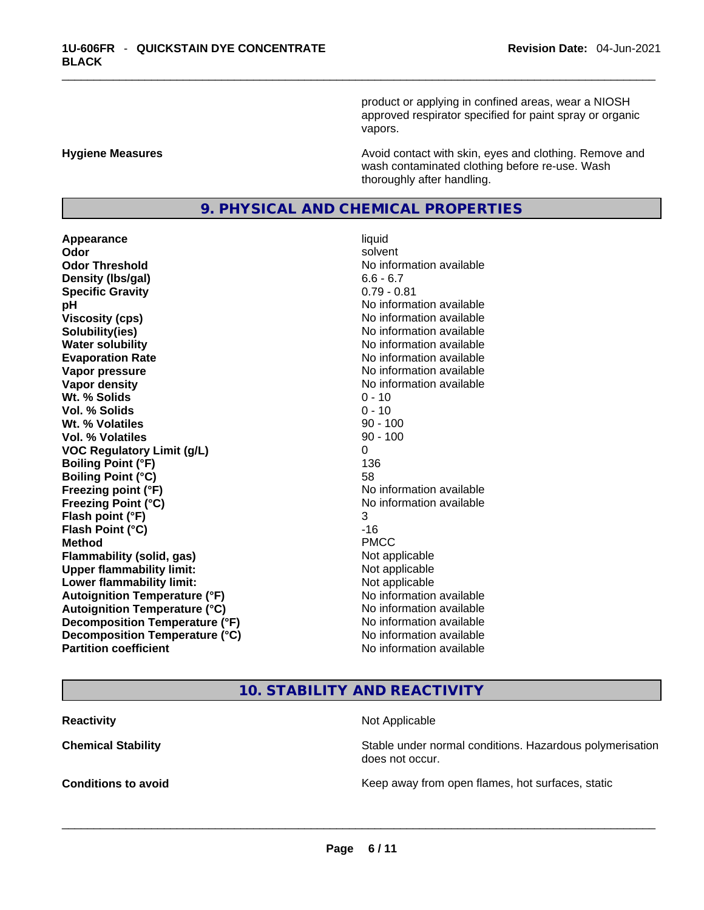product or applying in confined areas, wear a NIOSH approved respirator specified for paint spray or organic vapors.

**Hygiene Measures Avoid contact with skin, eyes and clothing. Remove and Avoid contact with skin, eyes and clothing. Remove and** wash contaminated clothing before re-use. Wash thoroughly after handling.

# **9. PHYSICAL AND CHEMICAL PROPERTIES**

**Appearance** liquid **Odor** solvent **Odor Threshold** No information available **Density (lbs/gal)** 6.6 - 6.7 **Specific Gravity** 0.79 - 0.81 **pH pH** *No* information available **Viscosity (cps) Viscosity (cps) No information available Solubility(ies)** No information available in the solution of the solution of the solution available in the solution of the solution of the solution of the solution of the solution of the solution of the solution of the so **Water solubility No information available No information available Evaporation Rate No information available No information available Vapor pressure No information available No information available Vapor density No information available No information available Wt. % Solids** 0 - 10 **Vol. % Solids** 0 - 10 **Wt. % Volatiles Vol. % Volatiles** 90 - 100 **VOC Regulatory Limit (g/L)** 0 **Boiling Point (°F)** 136 **Boiling Point (°C)** 58 **Freezing point (°F)** No information available **Freezing Point (°C)** No information available **Flash point (°F)** 3 **Flash Point (°C)** -16 **Method** PMCC **Flammability (solid, gas)**<br> **Upper flammability limit:**<br>
Upper flammability limit: **Upper flammability limit:**<br> **Lower flammability limit:**<br>
Not applicable<br>
Not applicable **Lower flammability limit:**<br> **Autoignition Temperature (°F)** Not applicable Not applicable in the Muslim Muslim Available **Autoignition Temperature (°F)**<br> **Autoignition Temperature (°C)** No information available **Autoignition Temperature (°C) Decomposition Temperature (°F)** No information available **Decomposition Temperature (°C)** No information available **Partition coefficient** No information available

# **10. STABILITY AND REACTIVITY**

**Reactivity Not Applicable Not Applicable** 

**Chemical Stability Stability** Stable under normal conditions. Hazardous polymerisation does not occur.

**Conditions to avoid Conditions to avoid Conditions keep** away from open flames, hot surfaces, static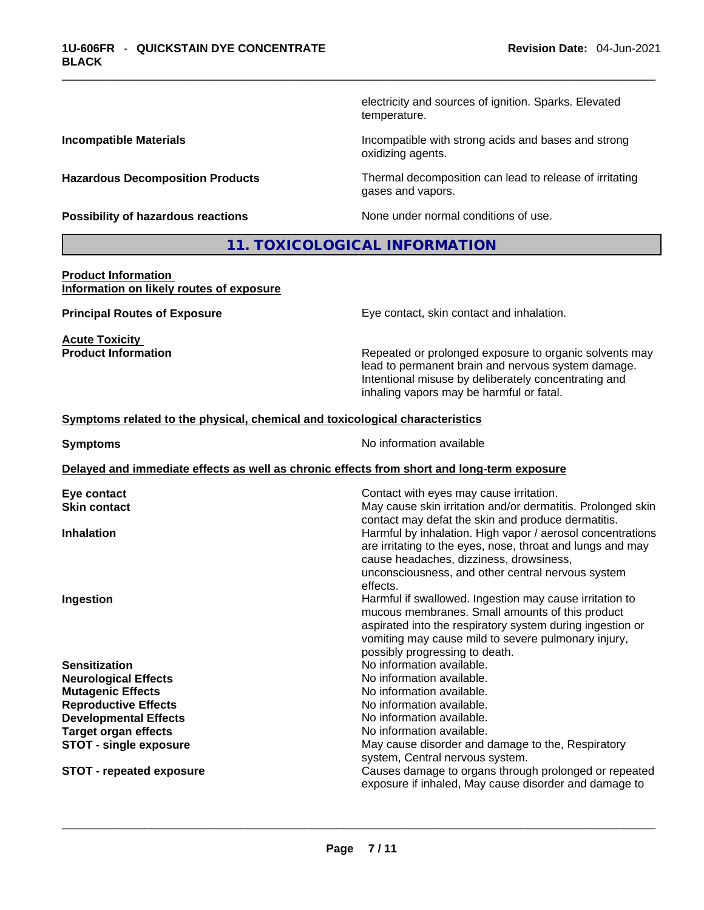electricity and sources of ignition. Sparks. Elevated temperature.

**Incompatible Materials Incompatible with strong acids and bases and strong** oxidizing agents.

**Hazardous Decomposition Products** Thermal decomposition can lead to release of irritating gases and vapors.

**Possibility of hazardous reactions** None under normal conditions of use.

## **11. TOXICOLOGICAL INFORMATION**

#### **Product Information Information on likely routes of exposure**

**Acute Toxicity** 

**Principal Routes of Exposure Exposure** Eye contact, skin contact and inhalation.

**Product Information Repeated or prolonged exposure to organic solvents may** lead to permanent brain and nervous system damage. Intentional misuse by deliberately concentrating and inhaling vapors may be harmful or fatal.

#### **Symptoms related to the physical,chemical and toxicological characteristics**

**Symptoms No information available** 

#### **Delayed and immediate effects as well as chronic effects from short and long-term exposure**

| Eye contact                     | Contact with eyes may cause irritation.                     |
|---------------------------------|-------------------------------------------------------------|
| <b>Skin contact</b>             | May cause skin irritation and/or dermatitis. Prolonged skin |
|                                 | contact may defat the skin and produce dermatitis.          |
| <b>Inhalation</b>               | Harmful by inhalation. High vapor / aerosol concentrations  |
|                                 | are irritating to the eyes, nose, throat and lungs and may  |
|                                 | cause headaches, dizziness, drowsiness,                     |
|                                 | unconsciousness, and other central nervous system           |
|                                 | effects.                                                    |
| Ingestion                       | Harmful if swallowed. Ingestion may cause irritation to     |
|                                 | mucous membranes. Small amounts of this product             |
|                                 | aspirated into the respiratory system during ingestion or   |
|                                 | vomiting may cause mild to severe pulmonary injury,         |
|                                 | possibly progressing to death.                              |
| <b>Sensitization</b>            | No information available.                                   |
| <b>Neurological Effects</b>     | No information available.                                   |
| <b>Mutagenic Effects</b>        | No information available.                                   |
| <b>Reproductive Effects</b>     | No information available.                                   |
| <b>Developmental Effects</b>    | No information available.                                   |
| <b>Target organ effects</b>     | No information available.                                   |
| <b>STOT - single exposure</b>   | May cause disorder and damage to the, Respiratory           |
|                                 | system, Central nervous system.                             |
| <b>STOT - repeated exposure</b> | Causes damage to organs through prolonged or repeated       |
|                                 | exposure if inhaled, May cause disorder and damage to       |
|                                 |                                                             |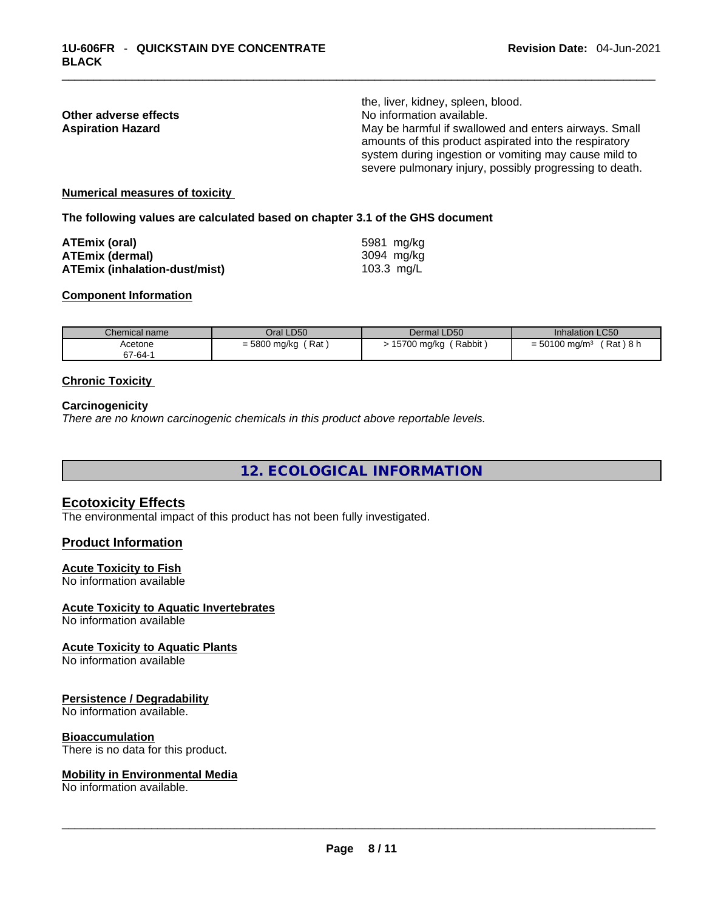|                          | the, liver, kidney, spleen, blood.                      |
|--------------------------|---------------------------------------------------------|
| Other adverse effects    | No information available.                               |
| <b>Aspiration Hazard</b> | May be harmful if swallowed and enters airways. Small   |
|                          | amounts of this product aspirated into the respiratory  |
|                          | system during ingestion or vomiting may cause mild to   |
|                          | severe pulmonary injury, possibly progressing to death. |
|                          |                                                         |

#### **Numerical measures of toxicity**

**The following values are calculated based on chapter 3.1 of the GHS document**

| ATEmix (oral)                        | 5981 mg/kg   |
|--------------------------------------|--------------|
| <b>ATEmix (dermal)</b>               | 3094 mg/ka   |
| <b>ATEmix (inhalation-dust/mist)</b> | 103.3 $mg/L$ |

#### **Component Information**

| Chemical name | Oral LD50             | Dermal LD50             | <b>Inhalation LC50</b>                  |
|---------------|-----------------------|-------------------------|-----------------------------------------|
| Acetone       | ' Rat<br>= 5800 mg/kg | (Rabbit)<br>15700 mg/kg | $= 50100$ mg/m <sup>3</sup><br>「Rat)8 h |
| 67-64-1       |                       |                         |                                         |

#### **Chronic Toxicity**

#### **Carcinogenicity**

*There are no known carcinogenic chemicals in this product above reportable levels.* 

**12. ECOLOGICAL INFORMATION** 

#### **Ecotoxicity Effects**

The environmental impact of this product has not been fully investigated.

#### **Product Information**

#### **Acute Toxicity to Fish**

No information available

#### **Acute Toxicity to Aquatic Invertebrates**

No information available

#### **Acute Toxicity to Aquatic Plants**

No information available

#### **Persistence / Degradability**

No information available.

#### **Bioaccumulation**

# There is no data for this product. \_\_\_\_\_\_\_\_\_\_\_\_\_\_\_\_\_\_\_\_\_\_\_\_\_\_\_\_\_\_\_\_\_\_\_\_\_\_\_\_\_\_\_\_\_\_\_\_\_\_\_\_\_\_\_\_\_\_\_\_\_\_\_\_\_\_\_\_\_\_\_\_\_\_\_\_\_\_\_\_\_\_\_\_\_\_\_\_\_\_\_\_\_ **Mobility in Environmental Media**

No information available.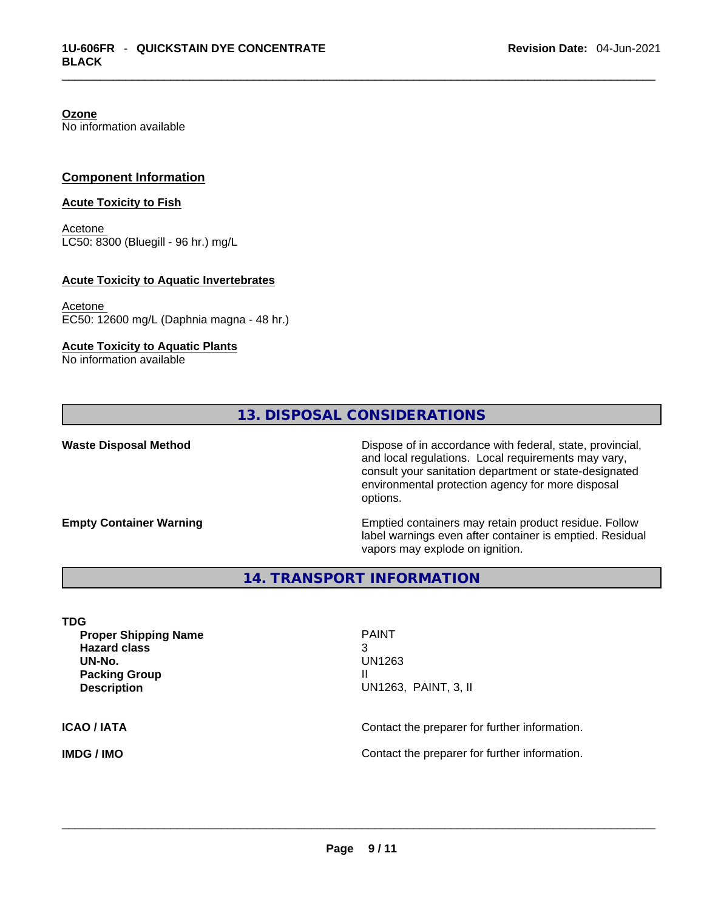**Ozone** No information available

#### **Component Information**

#### **Acute Toxicity to Fish**

Acetone LC50: 8300 (Bluegill - 96 hr.) mg/L

#### **Acute Toxicity to Aquatic Invertebrates**

Acetone EC50: 12600 mg/L (Daphnia magna - 48 hr.)

#### **Acute Toxicity to Aquatic Plants**

No information available

# **13. DISPOSAL CONSIDERATIONS**

**Waste Disposal Method** Dispose of in accordance with federal, state, provincial, and local regulations. Local requirements may vary, consult your sanitation department or state-designated environmental protection agency for more disposal options.

**Empty Container Warning <b>Emptied** Containers may retain product residue. Follow label warnings even after container is emptied. Residual vapors may explode on ignition.

**14. TRANSPORT INFORMATION** 

**TDG Proper Shipping Name** PAINT **Hazard class** 3 **UN-No.** UN1263 **Packing Group III Description** UN1263, PAINT, 3, II **ICAO / IATA CONTACTER CONTACTER INCOVER THE CONTACT CONTACT CONTACT OF INCOVERTING** 

**IMDG / IMO** Contact the preparer for further information. \_\_\_\_\_\_\_\_\_\_\_\_\_\_\_\_\_\_\_\_\_\_\_\_\_\_\_\_\_\_\_\_\_\_\_\_\_\_\_\_\_\_\_\_\_\_\_\_\_\_\_\_\_\_\_\_\_\_\_\_\_\_\_\_\_\_\_\_\_\_\_\_\_\_\_\_\_\_\_\_\_\_\_\_\_\_\_\_\_\_\_\_\_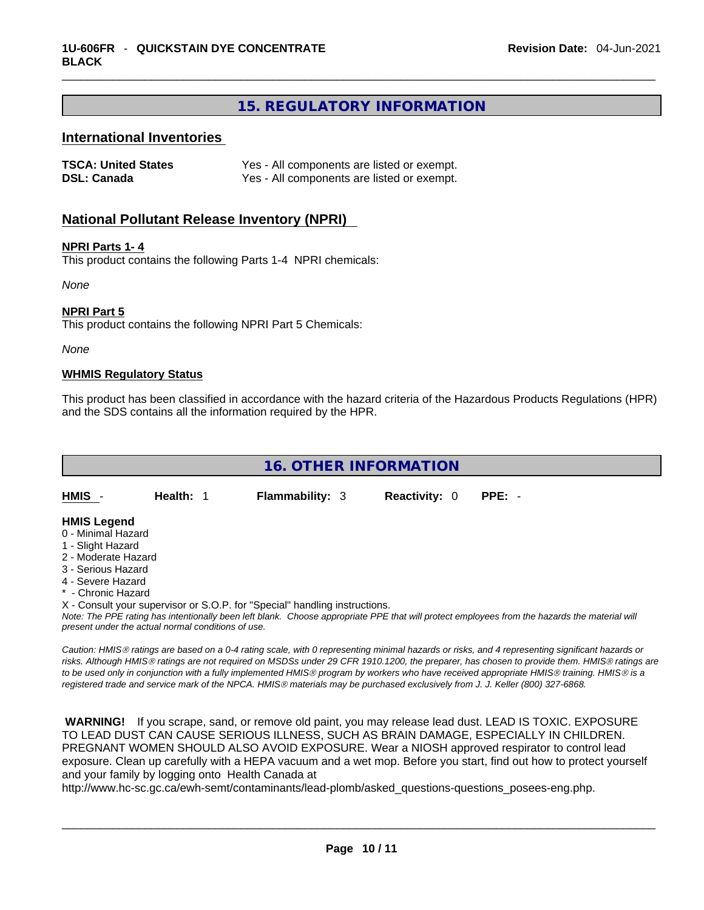# **15. REGULATORY INFORMATION**

#### **International Inventories**

| <b>TSCA: United States</b> | Yes - All components are listed or exempt. |
|----------------------------|--------------------------------------------|
| <b>DSL: Canada</b>         | Yes - All components are listed or exempt. |

#### **National Pollutant Release Inventory (NPRI)**

#### **NPRI Parts 1- 4**

This product contains the following Parts 1-4 NPRI chemicals:

*None*

#### **NPRI Part 5**

This product contains the following NPRI Part 5 Chemicals:

*None*

#### **WHMIS Regulatory Status**

This product has been classified in accordance with the hazard criteria of the Hazardous Products Regulations (HPR) and the SDS contains all the information required by the HPR.



- 1 Slight Hazard
- 2 Moderate Hazard
- 3 Serious Hazard
- 4 Severe Hazard
- **Chronic Hazard**

X - Consult your supervisor or S.O.P. for "Special" handling instructions.

*Note: The PPE rating has intentionally been left blank. Choose appropriate PPE that will protect employees from the hazards the material will present under the actual normal conditions of use.* 

*Caution: HMISÒ ratings are based on a 0-4 rating scale, with 0 representing minimal hazards or risks, and 4 representing significant hazards or risks. Although HMISÒ ratings are not required on MSDSs under 29 CFR 1910.1200, the preparer, has chosen to provide them. HMISÒ ratings are to be used only in conjunction with a fully implemented HMISÒ program by workers who have received appropriate HMISÒ training. HMISÒ is a registered trade and service mark of the NPCA. HMISÒ materials may be purchased exclusively from J. J. Keller (800) 327-6868.* 

 **WARNING!** If you scrape, sand, or remove old paint, you may release lead dust. LEAD IS TOXIC. EXPOSURE TO LEAD DUST CAN CAUSE SERIOUS ILLNESS, SUCH AS BRAIN DAMAGE, ESPECIALLY IN CHILDREN. PREGNANT WOMEN SHOULD ALSO AVOID EXPOSURE.Wear a NIOSH approved respirator to control lead exposure. Clean up carefully with a HEPA vacuum and a wet mop. Before you start, find out how to protect yourself and your family by logging onto Health Canada at

http://www.hc-sc.gc.ca/ewh-semt/contaminants/lead-plomb/asked\_questions-questions\_posees-eng.php.